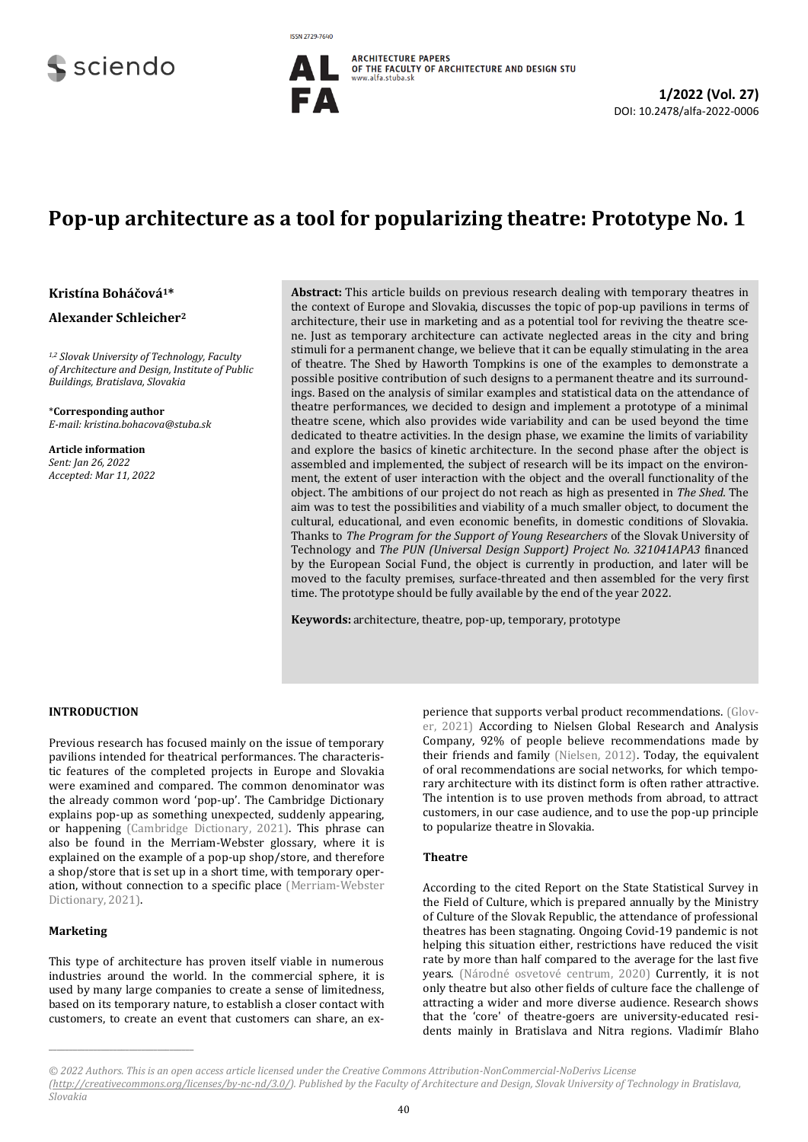# sciendo



## **Pop-up architecture as a tool for popularizing theatre: Prototype No. 1**

**Kristína Boháčová1\***

**Alexander Schleicher<sup>2</sup>**

*1,2 Slovak University of Technology, Faculty of Architecture and Design, Institute of Public Buildings, Bratislava, Slovakia*

\***Corresponding author** *E-mail: kristina.bohacova@stuba.sk*

**Article information** *Sent: Jan 26, 2022 Accepted: Mar 11, 2022* **Abstract:** This article builds on previous research dealing with temporary theatres in the context of Europe and Slovakia, discusses the topic of pop-up pavilions in terms of architecture, their use in marketing and as a potential tool for reviving the theatre scene. Just as temporary architecture can activate neglected areas in the city and bring stimuli for a permanent change, we believe that it can be equally stimulating in the area of theatre. The Shed by Haworth Tompkins is one of the examples to demonstrate a possible positive contribution of such designs to a permanent theatre and its surroundings. Based on the analysis of similar examples and statistical data on the attendance of theatre performances, we decided to design and implement a prototype of a minimal theatre scene, which also provides wide variability and can be used beyond the time dedicated to theatre activities. In the design phase, we examine the limits of variability and explore the basics of kinetic architecture. In the second phase after the object is assembled and implemented, the subject of research will be its impact on the environment, the extent of user interaction with the object and the overall functionality of the object. The ambitions of our project do not reach as high as presented in *The Shed.* The aim was to test the possibilities and viability of a much smaller object, to document the cultural, educational, and even economic benefits, in domestic conditions of Slovakia. Thanks to *The Program for the Support of Young Researchers* of the Slovak University of Technology and *The PUN (Universal Design Support) Project No. 321041APA3* financed by the European Social Fund, the object is currently in production, and later will be moved to the faculty premises, surface-threated and then assembled for the very first time. The prototype should be fully available by the end of the year 2022.

**Keywords:** architecture, theatre, pop-up, temporary, prototype

#### **INTRODUCTION**

Previous research has focused mainly on the issue of temporary pavilions intended for theatrical performances. The characteristic features of the completed projects in Europe and Slovakia were examined and compared. The common denominator was the already common word 'pop-up'. The Cambridge Dictionary explains pop-up as something unexpected, suddenly appearing, or happening [\(Cambridge Dictionary, 2021\).](#page-2-0) This phrase can also be found in the Merriam-Webster glossary, where it is explained on the example of a pop-up shop/store, and therefore a shop/store that is set up in a short time, with temporary operation, without connection to a specific place [\(Merriam-Webster](#page-2-1)  [Dictionary, 2021\)](#page-2-1).

#### **Marketing**

**\_\_\_\_\_\_\_\_\_\_\_\_\_\_\_\_\_\_\_\_\_\_\_\_\_\_\_\_\_\_\_\_\_\_\_\_**

This type of architecture has proven itself viable in numerous industries around the world. In the commercial sphere, it is used by many large companies to create a sense of limitedness, based on its temporary nature, to establish a closer contact with customers, to create an event that customers can share, an experience that supports verbal product recommendations[. \(Glov](#page-2-2)[er, 2021\)](#page-2-2) According to Nielsen Global Research and Analysis Company, 92% of people believe recommendations made by their friends and family [\(Nielsen, 2012\).](#page-2-3) Today, the equivalent of oral recommendations are social networks, for which temporary architecture with its distinct form is often rather attractive. The intention is to use proven methods from abroad, to attract customers, in our case audience, and to use the pop-up principle to popularize theatre in Slovakia.

#### **Theatre**

According to the cited Report on the State Statistical Survey in the Field of Culture, which is prepared annually by the Ministry of Culture of the Slovak Republic, the attendance of professional theatres has been stagnating. Ongoing Covid-19 pandemic is not helping this situation either, restrictions have reduced the visit rate by more than half compared to the average for the last five years. [\(Národné osvetové centrum, 2020\)](#page-2-4) Currently, it is not only theatre but also other fields of culture face the challenge of attracting a wider and more diverse audience. Research shows that the 'core' of theatre-goers are university-educated residents mainly in Bratislava and Nitra regions. Vladimír Blaho

*<sup>© 202</sup>2 Authors. This is an open access article licensed under the Creative Commons Attribution-NonCommercial-NoDerivs License [\(http://creativecommons.org/licenses/by-nc-nd/3.0/\)](http://creativecommons.org/licenses/by-nc-nd/3.0/). Published by the Faculty of Architecture and Design, Slovak University of Technology in Bratislava, Slovakia*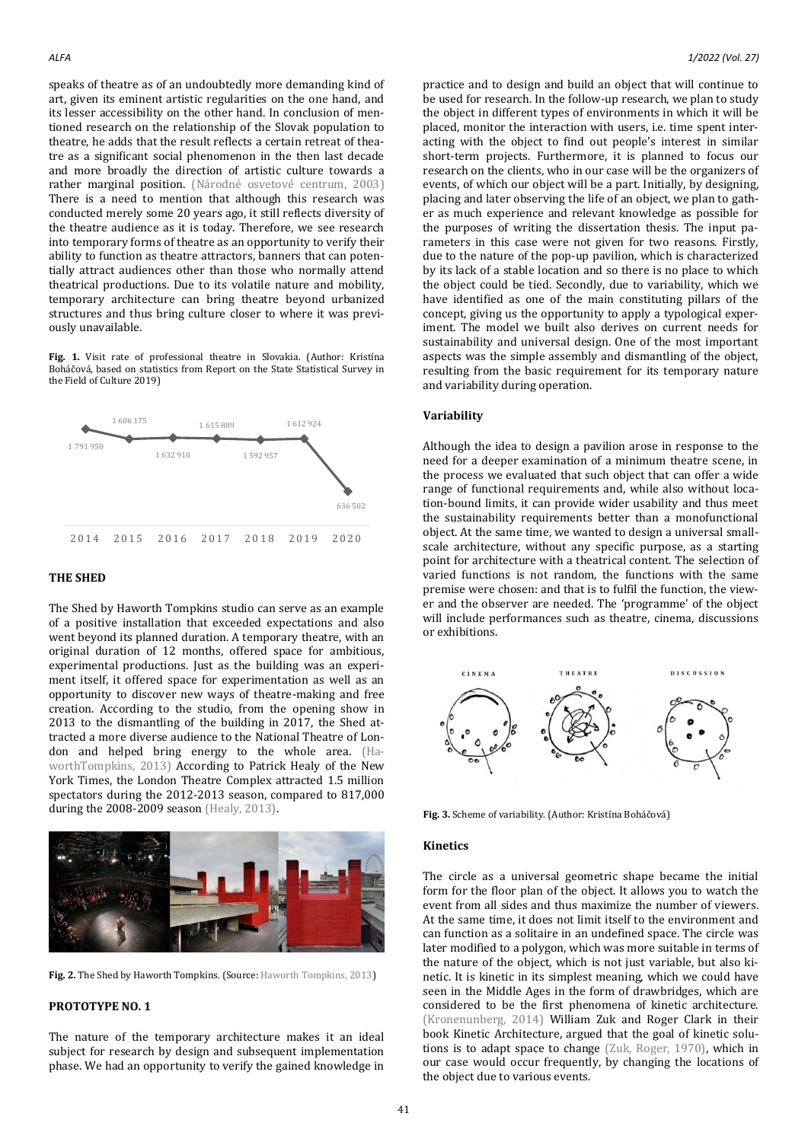speaks of theatre as of an undoubtedly more demanding kind of art, given its eminent artistic regularities on the one hand, and its lesser accessibility on the other hand. In conclusion of mentioned research on the relationship of the Slovak population to theatre, he adds that the result reflects a certain retreat of theatre as a significant social phenomenon in the then last decade and more broadly the direction of artistic culture towards a rather marginal position. ([Národné osvetové centrum, 2003](#page-2-5)) There is a need to mention that although this research was conducted merely some 20 years ago, it still reflects diversity of the theatre audience as it is today. Therefore, we see research into temporary forms of theatre as an opportunity to verify their ability to function as theatre attractors, banners that can potentially attract audiences other than those who normally attend theatrical productions. Due to its volatile nature and mobility, temporary architecture can bring theatre beyond urbanized structures and thus bring culture closer to where it was previously unavailable.

Fig. 1. Visit rate of professional theatre in Slovakia. (Author: Kristína Boháčová, based on statistics from Report on the State Statistical Survey in the Field of Culture 2019)



#### **THE SHED**

The Shed by Haworth Tompkins studio can serve as an example of a positive installation that exceeded expectations and also went beyond its planned duration. A temporary theatre, with an original duration of 12 months, offered space for ambitious, experimental productions. Just as the building was an experiment itself, it offered space for experimentation as well as an opportunity to discover new ways of theatre-making and free creation. According to the studio, from the opening show in 2013 to the dismantling of the building in 2017, the Shed attracted a more diverse audience to the National Theatre of London and helped bring energy to the whole area. [\(Ha](#page-2-6)[worthTompkins, 2013\)](#page-2-6) According to Patrick Healy of the New York Times, the London Theatre Complex attracted 1.5 million spectators during the 2012-2013 season, compared to 817,000 during the 2008-2009 season [\(Healy, 2013\).](#page-2-7)



**Fig. 2.** The Shed by Haworth Tompkins. (Source[: Haworth Tompkins, 2013\)](#page-2-6)

### **PROTOTYPE NO. 1**

The nature of the temporary architecture makes it an ideal subject for research by design and subsequent implementation phase. We had an opportunity to verify the gained knowledge in practice and to design and build an object that will continue to be used for research. In the follow-up research, we plan to study the object in different types of environments in which it will be placed, monitor the interaction with users, i.e. time spent interacting with the object to find out people's interest in similar short-term projects. Furthermore, it is planned to focus our research on the clients, who in our case will be the organizers of events, of which our object will be a part. Initially, by designing, placing and later observing the life of an object, we plan to gather as much experience and relevant knowledge as possible for the purposes of writing the dissertation thesis. The input parameters in this case were not given for two reasons. Firstly, due to the nature of the pop-up pavilion, which is characterized by its lack of a stable location and so there is no place to which the object could be tied. Secondly, due to variability, which we have identified as one of the main constituting pillars of the concept, giving us the opportunity to apply a typological experiment. The model we built also derives on current needs for sustainability and universal design. One of the most important aspects was the simple assembly and dismantling of the object, resulting from the basic requirement for its temporary nature and variability during operation.

#### **Variability**

Although the idea to design a pavilion arose in response to the need for a deeper examination of a minimum theatre scene, in the process we evaluated that such object that can offer a wide range of functional requirements and, while also without location-bound limits, it can provide wider usability and thus meet the sustainability requirements better than a monofunctional object. At the same time, we wanted to design a universal smallscale architecture, without any specific purpose, as a starting point for architecture with a theatrical content. The selection of varied functions is not random, the functions with the same premise were chosen: and that is to fulfil the function, the viewer and the observer are needed. The 'programme' of the object will include performances such as theatre, cinema, discussions or exhibitions.



**Fig. 3.** Scheme of variability. (Author: Kristína Boháčová)

#### **Kinetics**

The circle as a universal geometric shape became the initial form for the floor plan of the object. It allows you to watch the event from all sides and thus maximize the number of viewers. At the same time, it does not limit itself to the environment and can function as a solitaire in an undefined space. The circle was later modified to a polygon, which was more suitable in terms of the nature of the object, which is not just variable, but also kinetic. It is kinetic in its simplest meaning, which we could have seen in the Middle Ages in the form of drawbridges, which are considered to be the first phenomena of kinetic architecture. [\(Kronenunberg, 2014\)](#page-2-8) William Zuk and Roger Clark in their book Kinetic Architecture, argued that the goal of kinetic solutions is to adapt space to change [\(Zuk, Roger, 1970\),](#page-2-9) which in our case would occur frequently, by changing the locations of the object due to various events.